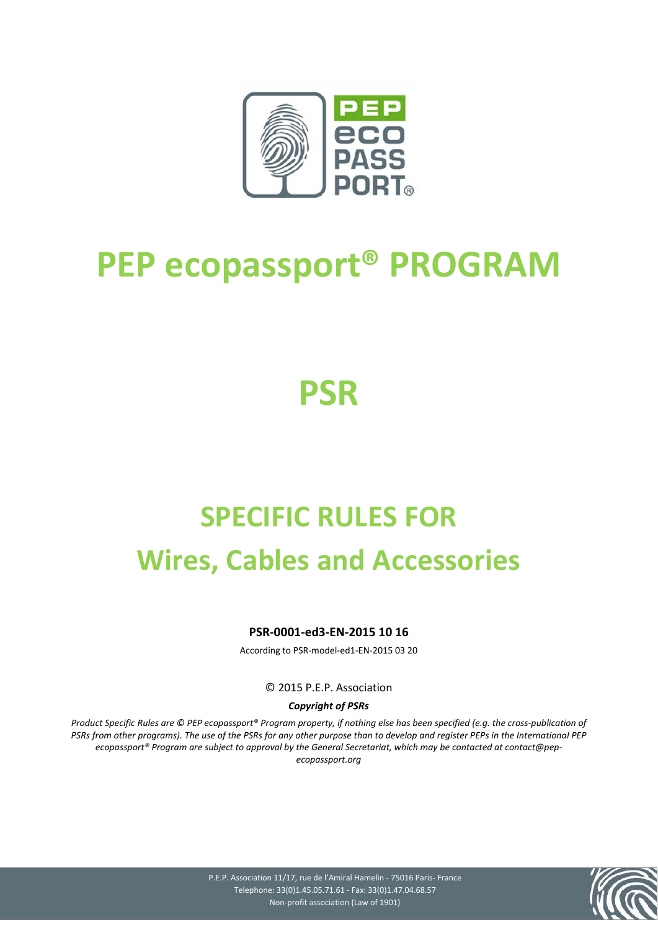

# **PEP ecopassport® PROGRAM**

## **PSR**

# **SPECIFIC RULES FOR Wires, Cables and Accessories**

### **PSR-0001-ed3-EN-2015 10 16**

According to PSR-model-ed1-EN-2015 03 20

© 2015 P.E.P. Association

#### *Copyright of PSRs*

*Product Specific Rules are © PEP ecopassport® Program property, if nothing else has been specified (e.g. the cross-publication of PSRs from other programs). The use of the PSRs for any other purpose than to develop and register PEPs in the International PEP ecopassport® Program are subject to approval by the General Secretariat, which may be contacted at contact@pepecopassport.org* 

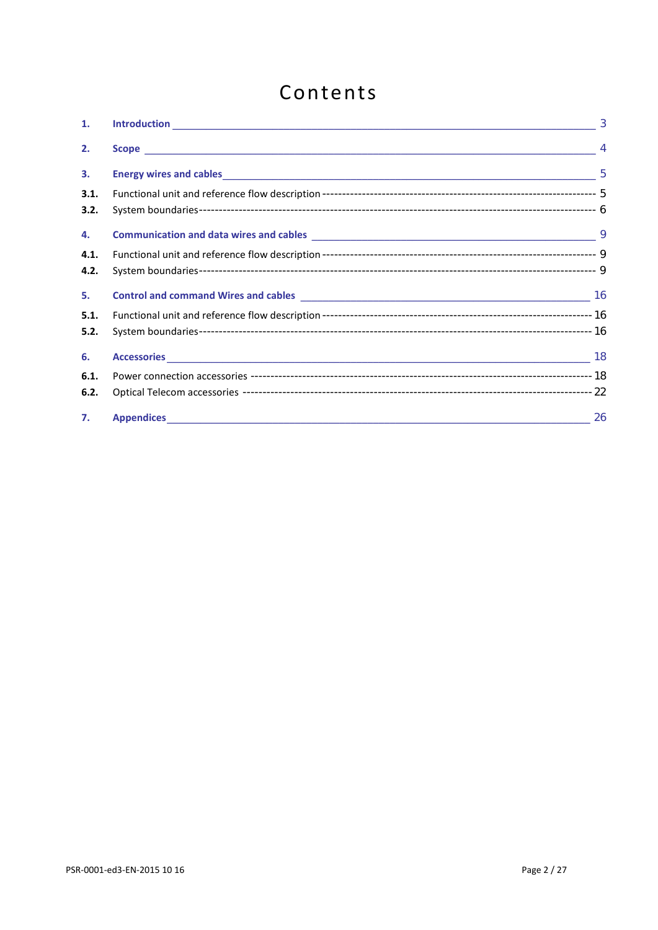## Contents

| 1.   | $\overline{3}$ |
|------|----------------|
| 2.   |                |
| 3.   |                |
| 3.1. |                |
| 3.2. |                |
| 4.   |                |
| 4.1. |                |
| 4.2. |                |
| 5.   |                |
| 5.1. |                |
| 5.2. |                |
| 6.   |                |
| 6.1. |                |
| 6.2. |                |
| 7.   |                |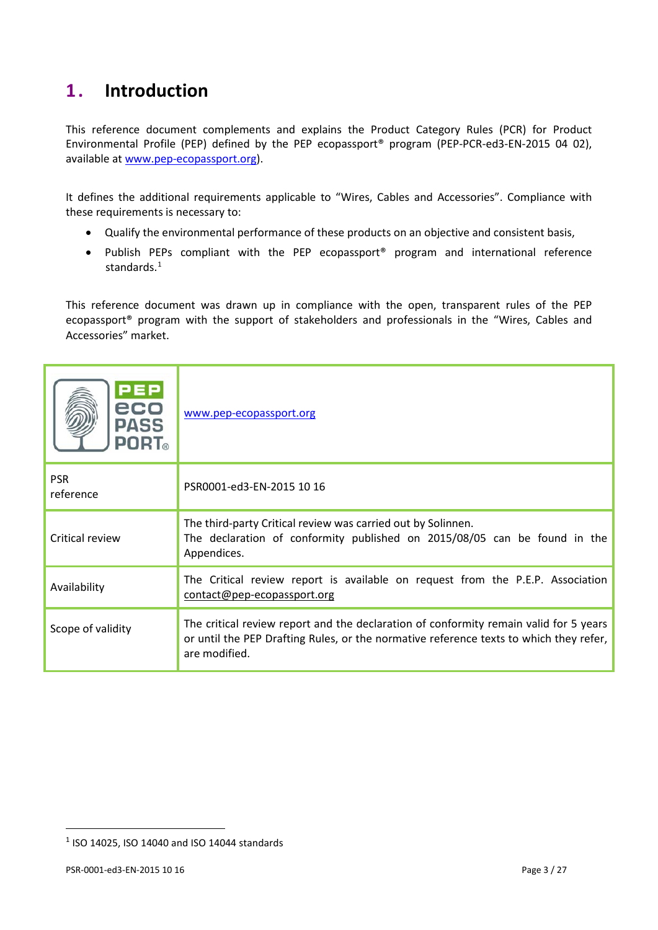### <span id="page-2-0"></span>**1 . Introduction**

This reference document complements and explains the Product Category Rules (PCR) for Product Environmental Profile (PEP) defined by the PEP ecopassport® program (PEP-PCR-ed3-EN-2015 04 02), available at [www.pep-ecopassport.org\)](http://www.pep-ecopassport.org/).

It defines the additional requirements applicable to "Wires, Cables and Accessories". Compliance with these requirements is necessary to:

- Qualify the environmental performance of these products on an objective and consistent basis,
- Publish PEPs compliant with the PEP ecopassport® program and international reference standards.<sup>[1](#page-2-1)</sup>

This reference document was drawn up in compliance with the open, transparent rules of the PEP ecopassport® program with the support of stakeholders and professionals in the "Wires, Cables and Accessories" market.

| PEP<br>eco<br><b>PASS</b><br><b>PORT</b> | www.pep-ecopassport.org                                                                                                                                                                          |
|------------------------------------------|--------------------------------------------------------------------------------------------------------------------------------------------------------------------------------------------------|
| <b>PSR</b><br>reference                  | PSR0001-ed3-EN-2015 10 16                                                                                                                                                                        |
| Critical review                          | The third-party Critical review was carried out by Solinnen.<br>The declaration of conformity published on 2015/08/05 can be found in the<br>Appendices.                                         |
| Availability                             | The Critical review report is available on request from the P.E.P. Association<br>contact@pep-ecopassport.org                                                                                    |
| Scope of validity                        | The critical review report and the declaration of conformity remain valid for 5 years<br>or until the PEP Drafting Rules, or the normative reference texts to which they refer,<br>are modified. |

 $\overline{a}$ 

<span id="page-2-1"></span> $1$  ISO 14025, ISO 14040 and ISO 14044 standards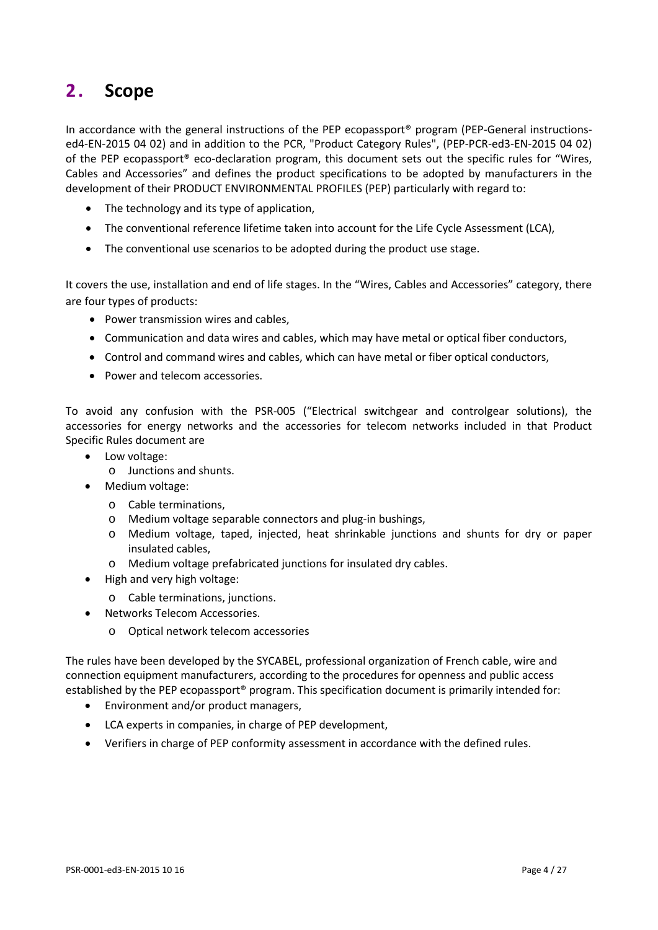### <span id="page-3-0"></span>**2 . Scope**

In accordance with the general instructions of the PEP ecopassport<sup>®</sup> program (PEP-General instructionsed4-EN-2015 04 02) and in addition to the PCR, "Product Category Rules", (PEP-PCR-ed3-EN-2015 04 02) of the PEP ecopassport® eco-declaration program, this document sets out the specific rules for "Wires, Cables and Accessories" and defines the product specifications to be adopted by manufacturers in the development of their PRODUCT ENVIRONMENTAL PROFILES (PEP) particularly with regard to:

- The technology and its type of application,
- The conventional reference lifetime taken into account for the Life Cycle Assessment (LCA),
- The conventional use scenarios to be adopted during the product use stage.

It covers the use, installation and end of life stages. In the "Wires, Cables and Accessories" category, there are four types of products:

- Power transmission wires and cables,
- Communication and data wires and cables, which may have metal or optical fiber conductors,
- Control and command wires and cables, which can have metal or fiber optical conductors,
- Power and telecom accessories.

To avoid any confusion with the PSR-005 ("Electrical switchgear and controlgear solutions), the accessories for energy networks and the accessories for telecom networks included in that Product Specific Rules document are

- Low voltage:
	- o Junctions and shunts.
- Medium voltage:
	- o Cable terminations,
	- o Medium voltage separable connectors and plug-in bushings,
	- o Medium voltage, taped, injected, heat shrinkable junctions and shunts for dry or paper insulated cables,
	- o Medium voltage prefabricated junctions for insulated dry cables.
- High and very high voltage:
	- o Cable terminations, junctions.
	- Networks Telecom Accessories.
		- o Optical network telecom accessories

The rules have been developed by the SYCABEL, professional organization of French cable, wire and connection equipment manufacturers, according to the procedures for openness and public access established by the PEP ecopassport® program. This specification document is primarily intended for:

- Environment and/or product managers,
- LCA experts in companies, in charge of PEP development,
- Verifiers in charge of PEP conformity assessment in accordance with the defined rules.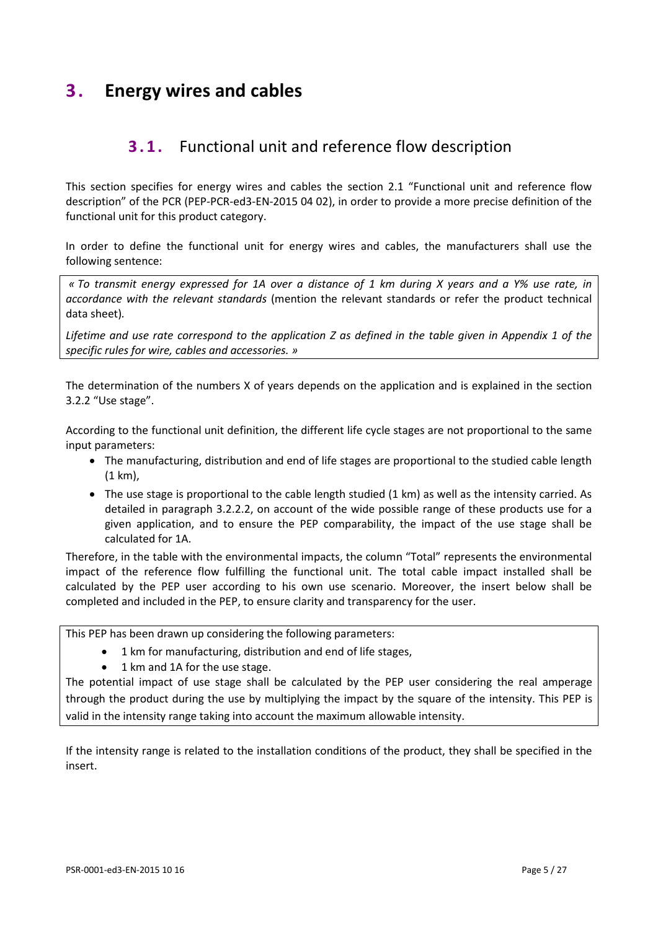### <span id="page-4-0"></span>**3 . Energy wires and cables**

### <span id="page-4-1"></span>**3.1.** Functional unit and reference flow description

This section specifies for energy wires and cables the section 2.1 "Functional unit and reference flow description" of the PCR (PEP-PCR-ed3-EN-2015 04 02), in order to provide a more precise definition of the functional unit for this product category.

In order to define the functional unit for energy wires and cables, the manufacturers shall use the following sentence:

*« To transmit energy expressed for 1A over a distance of 1 km during X years and a Y% use rate, in accordance with the relevant standards* (mention the relevant standards or refer the product technical data sheet)*.*

*Lifetime and use rate correspond to the application Z as defined in the table given in Appendix 1 of the specific rules for wire, cables and accessories. »*

The determination of the numbers X of years depends on the application and is explained in the section 3.2.2 "Use stage".

According to the functional unit definition, the different life cycle stages are not proportional to the same input parameters:

- The manufacturing, distribution and end of life stages are proportional to the studied cable length (1 km),
- The use stage is proportional to the cable length studied (1 km) as well as the intensity carried. As detailed in paragraph 3.2.2.2, on account of the wide possible range of these products use for a given application, and to ensure the PEP comparability, the impact of the use stage shall be calculated for 1A.

Therefore, in the table with the environmental impacts, the column "Total" represents the environmental impact of the reference flow fulfilling the functional unit. The total cable impact installed shall be calculated by the PEP user according to his own use scenario. Moreover, the insert below shall be completed and included in the PEP, to ensure clarity and transparency for the user.

This PEP has been drawn up considering the following parameters:

- 1 km for manufacturing, distribution and end of life stages,
- 1 km and 1A for the use stage.

The potential impact of use stage shall be calculated by the PEP user considering the real amperage through the product during the use by multiplying the impact by the square of the intensity. This PEP is valid in the intensity range taking into account the maximum allowable intensity.

If the intensity range is related to the installation conditions of the product, they shall be specified in the insert.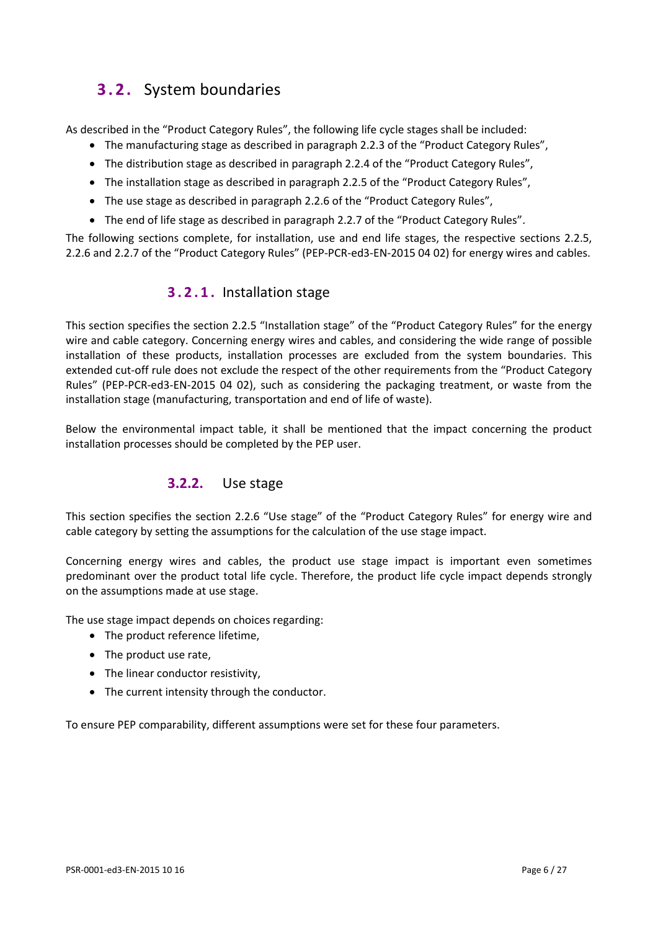### <span id="page-5-0"></span>**3.2.** System boundaries

As described in the "Product Category Rules", the following life cycle stages shall be included:

- The manufacturing stage as described in paragraph 2.2.3 of the "Product Category Rules",
- The distribution stage as described in paragraph 2.2.4 of the "Product Category Rules",
- The installation stage as described in paragraph 2.2.5 of the "Product Category Rules",
- The use stage as described in paragraph 2.2.6 of the "Product Category Rules",
- The end of life stage as described in paragraph 2.2.7 of the "Product Category Rules".

The following sections complete, for installation, use and end life stages, the respective sections 2.2.5, 2.2.6 and 2.2.7 of the "Product Category Rules" (PEP-PCR-ed3-EN-2015 04 02) for energy wires and cables.

### **3.2.1.** Installation stage

This section specifies the section 2.2.5 "Installation stage" of the "Product Category Rules" for the energy wire and cable category. Concerning energy wires and cables, and considering the wide range of possible installation of these products, installation processes are excluded from the system boundaries. This extended cut-off rule does not exclude the respect of the other requirements from the "Product Category Rules" (PEP-PCR-ed3-EN-2015 04 02), such as considering the packaging treatment, or waste from the installation stage (manufacturing, transportation and end of life of waste).

Below the environmental impact table, it shall be mentioned that the impact concerning the product installation processes should be completed by the PEP user.

### **3.2.2.** Use stage

This section specifies the section 2.2.6 "Use stage" of the "Product Category Rules" for energy wire and cable category by setting the assumptions for the calculation of the use stage impact.

Concerning energy wires and cables, the product use stage impact is important even sometimes predominant over the product total life cycle. Therefore, the product life cycle impact depends strongly on the assumptions made at use stage.

The use stage impact depends on choices regarding:

- The product reference lifetime.
- The product use rate,
- The linear conductor resistivity,
- The current intensity through the conductor.

To ensure PEP comparability, different assumptions were set for these four parameters.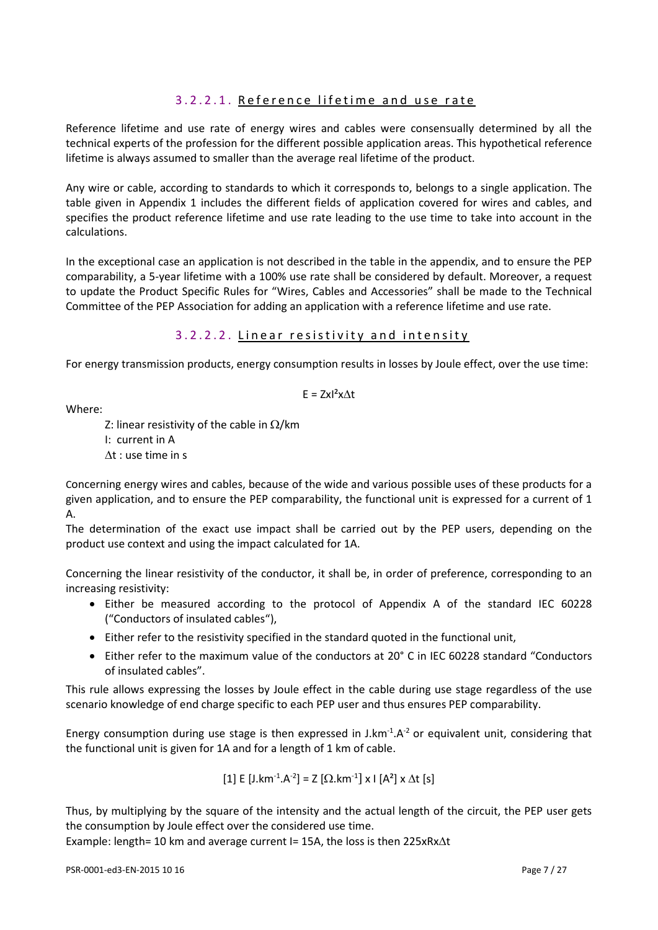### 3.2.2.1. Reference lifetime and use rate

Reference lifetime and use rate of energy wires and cables were consensually determined by all the technical experts of the profession for the different possible application areas. This hypothetical reference lifetime is always assumed to smaller than the average real lifetime of the product.

Any wire or cable, according to standards to which it corresponds to, belongs to a single application. The table given in Appendix 1 includes the different fields of application covered for wires and cables, and specifies the product reference lifetime and use rate leading to the use time to take into account in the calculations.

In the exceptional case an application is not described in the table in the appendix, and to ensure the PEP comparability, a 5-year lifetime with a 100% use rate shall be considered by default. Moreover, a request to update the Product Specific Rules for "Wires, Cables and Accessories" shall be made to the Technical Committee of the PEP Association for adding an application with a reference lifetime and use rate.

### 3.2.2.2. Linear resistivity and intensity

For energy transmission products, energy consumption results in losses by Joule effect, over the use time:

$$
E = ZxI^2x\Delta t
$$

Where:

Z: linear resistivity of the cable in  $\Omega$ /km I: current in A ∆t : use time in s

Concerning energy wires and cables, because of the wide and various possible uses of these products for a given application, and to ensure the PEP comparability, the functional unit is expressed for a current of 1 A.

The determination of the exact use impact shall be carried out by the PEP users, depending on the product use context and using the impact calculated for 1A.

Concerning the linear resistivity of the conductor, it shall be, in order of preference, corresponding to an increasing resistivity:

- Either be measured according to the protocol of Appendix A of the standard IEC 60228 ("Conductors of insulated cables"),
- Either refer to the resistivity specified in the standard quoted in the functional unit,
- Either refer to the maximum value of the conductors at 20° C in IEC 60228 standard "Conductors of insulated cables".

This rule allows expressing the losses by Joule effect in the cable during use stage regardless of the use scenario knowledge of end charge specific to each PEP user and thus ensures PEP comparability.

Energy consumption during use stage is then expressed in J. $km^{-1}.A^{-2}$  or equivalent unit, considering that the functional unit is given for 1A and for a length of 1 km of cable.

[1] E [J.km<sup>-1</sup>.A<sup>-2</sup>] = Z [Ω.km<sup>-1</sup>] x | [A<sup>2</sup>] x 
$$
\Delta t
$$
 [s]

Thus, by multiplying by the square of the intensity and the actual length of the circuit, the PEP user gets the consumption by Joule effect over the considered use time.

Example: length= 10 km and average current I= 15A, the loss is then 225xRx∆t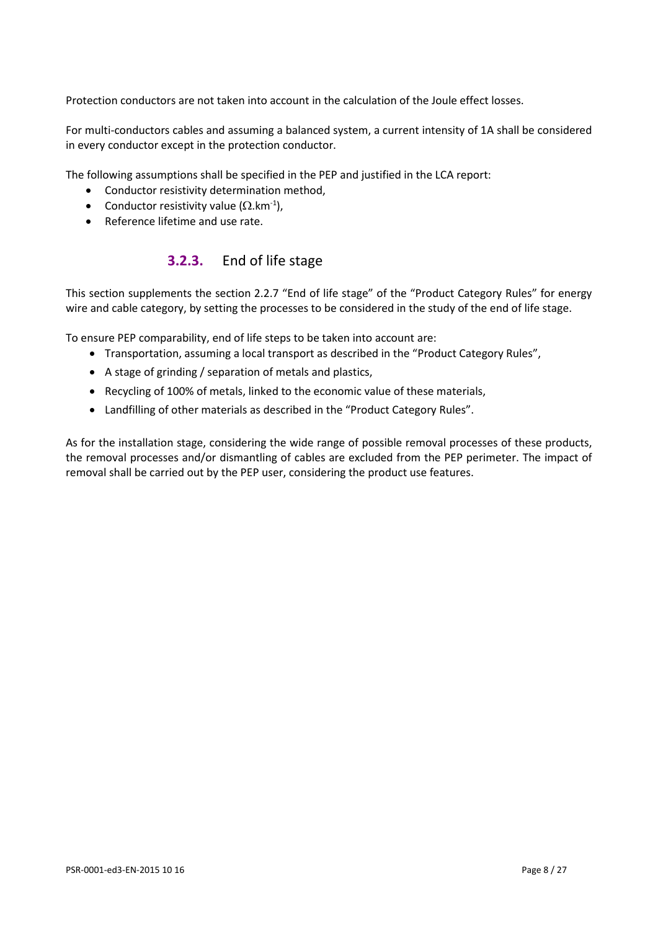Protection conductors are not taken into account in the calculation of the Joule effect losses.

For multi-conductors cables and assuming a balanced system, a current intensity of 1A shall be considered in every conductor except in the protection conductor.

The following assumptions shall be specified in the PEP and justified in the LCA report:

- Conductor resistivity determination method,
- Conductor resistivity value ( $\Omega$ .km<sup>-1</sup>),
- Reference lifetime and use rate.

### **3.2.3.** End of life stage

This section supplements the section 2.2.7 "End of life stage" of the "Product Category Rules" for energy wire and cable category, by setting the processes to be considered in the study of the end of life stage.

To ensure PEP comparability, end of life steps to be taken into account are:

- Transportation, assuming a local transport as described in the "Product Category Rules",
- A stage of grinding / separation of metals and plastics,
- Recycling of 100% of metals, linked to the economic value of these materials,
- Landfilling of other materials as described in the "Product Category Rules".

As for the installation stage, considering the wide range of possible removal processes of these products, the removal processes and/or dismantling of cables are excluded from the PEP perimeter. The impact of removal shall be carried out by the PEP user, considering the product use features.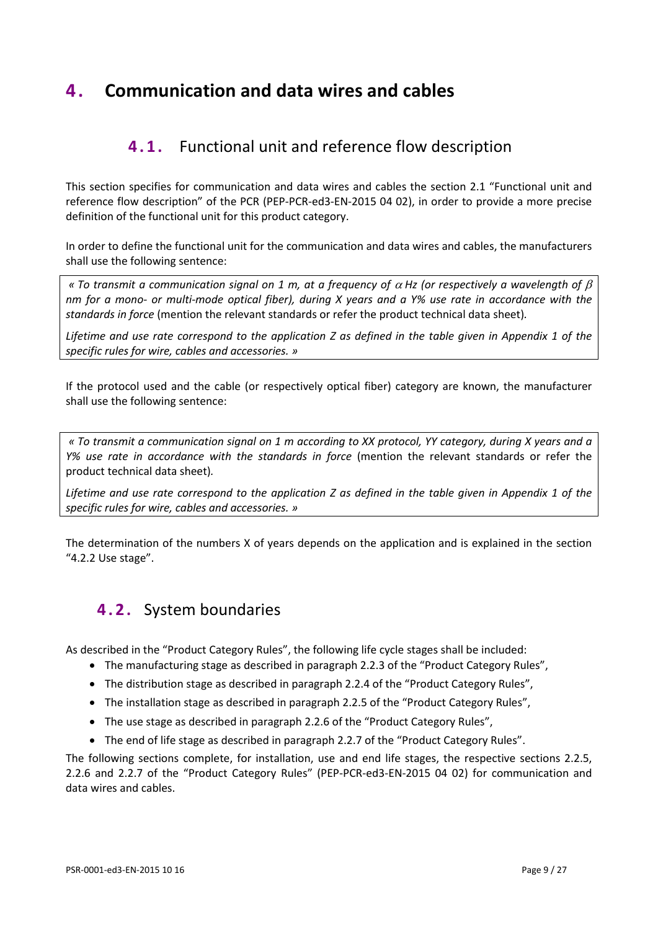### <span id="page-8-0"></span>**4 . Communication and data wires and cables**

### <span id="page-8-1"></span>**4.1.** Functional unit and reference flow description

This section specifies for communication and data wires and cables the section 2.1 "Functional unit and reference flow description" of the PCR (PEP-PCR-ed3-EN-2015 04 02), in order to provide a more precise definition of the functional unit for this product category.

In order to define the functional unit for the communication and data wires and cables, the manufacturers shall use the following sentence:

*« To transmit a communication signal on 1 m, at a frequency of* α *Hz (or respectively a wavelength of* β *nm for a mono- or multi-mode optical fiber), during X years and a Y% use rate in accordance with the standards in force* (mention the relevant standards or refer the product technical data sheet)*.*

*Lifetime and use rate correspond to the application Z as defined in the table given in Appendix 1 of the specific rules for wire, cables and accessories. »*

If the protocol used and the cable (or respectively optical fiber) category are known, the manufacturer shall use the following sentence:

*« To transmit a communication signal on 1 m according to XX protocol, YY category, during X years and a Y% use rate in accordance with the standards in force* (mention the relevant standards or refer the product technical data sheet)*.*

*Lifetime and use rate correspond to the application Z as defined in the table given in Appendix 1 of the specific rules for wire, cables and accessories. »*

<span id="page-8-2"></span>The determination of the numbers X of years depends on the application and is explained in the section "4.2.2 Use stage".

### **4.2.** System boundaries

As described in the "Product Category Rules", the following life cycle stages shall be included:

- The manufacturing stage as described in paragraph 2.2.3 of the "Product Category Rules",
- The distribution stage as described in paragraph 2.2.4 of the "Product Category Rules",
- The installation stage as described in paragraph 2.2.5 of the "Product Category Rules",
- The use stage as described in paragraph 2.2.6 of the "Product Category Rules",
- The end of life stage as described in paragraph 2.2.7 of the "Product Category Rules".

The following sections complete, for installation, use and end life stages, the respective sections 2.2.5, 2.2.6 and 2.2.7 of the "Product Category Rules" (PEP-PCR-ed3-EN-2015 04 02) for communication and data wires and cables.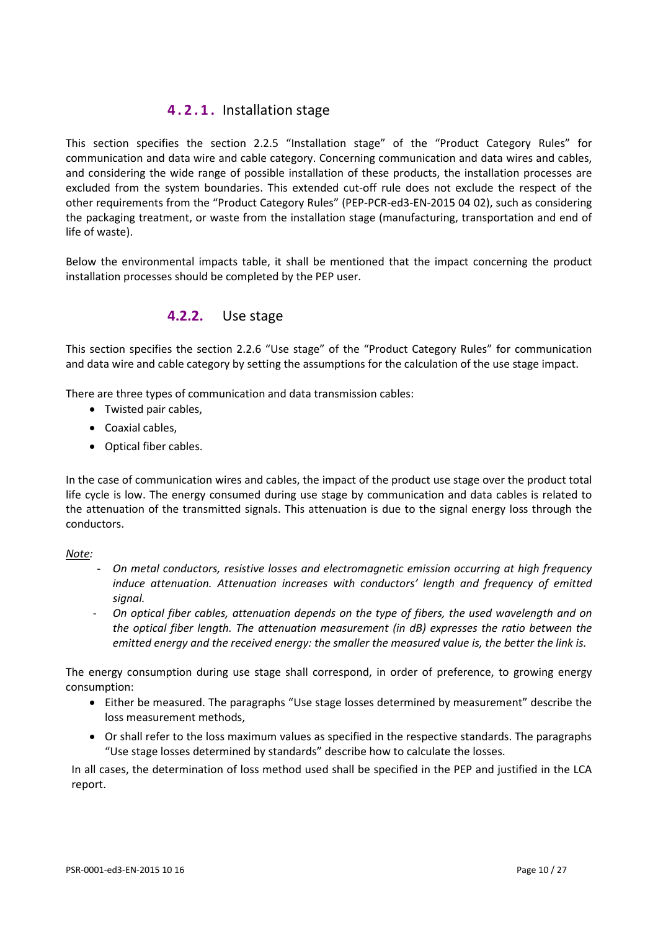### **4.2.1.** Installation stage

This section specifies the section 2.2.5 "Installation stage" of the "Product Category Rules" for communication and data wire and cable category. Concerning communication and data wires and cables, and considering the wide range of possible installation of these products, the installation processes are excluded from the system boundaries. This extended cut-off rule does not exclude the respect of the other requirements from the "Product Category Rules" (PEP-PCR-ed3-EN-2015 04 02), such as considering the packaging treatment, or waste from the installation stage (manufacturing, transportation and end of life of waste).

Below the environmental impacts table, it shall be mentioned that the impact concerning the product installation processes should be completed by the PEP user.

### **4.2.2.** Use stage

This section specifies the section 2.2.6 "Use stage" of the "Product Category Rules" for communication and data wire and cable category by setting the assumptions for the calculation of the use stage impact.

There are three types of communication and data transmission cables:

- Twisted pair cables,
- Coaxial cables,
- Optical fiber cables.

In the case of communication wires and cables, the impact of the product use stage over the product total life cycle is low. The energy consumed during use stage by communication and data cables is related to the attenuation of the transmitted signals. This attenuation is due to the signal energy loss through the conductors.

#### *Note:*

- *On metal conductors, resistive losses and electromagnetic emission occurring at high frequency induce attenuation. Attenuation increases with conductors' length and frequency of emitted signal.*
- *On optical fiber cables, attenuation depends on the type of fibers, the used wavelength and on the optical fiber length. The attenuation measurement (in dB) expresses the ratio between the emitted energy and the received energy: the smaller the measured value is, the better the link is.*

The energy consumption during use stage shall correspond, in order of preference, to growing energy consumption:

- Either be measured. The paragraphs "Use stage losses determined by measurement" describe the loss measurement methods,
- Or shall refer to the loss maximum values as specified in the respective standards. The paragraphs "Use stage losses determined by standards" describe how to calculate the losses.

In all cases, the determination of loss method used shall be specified in the PEP and justified in the LCA report.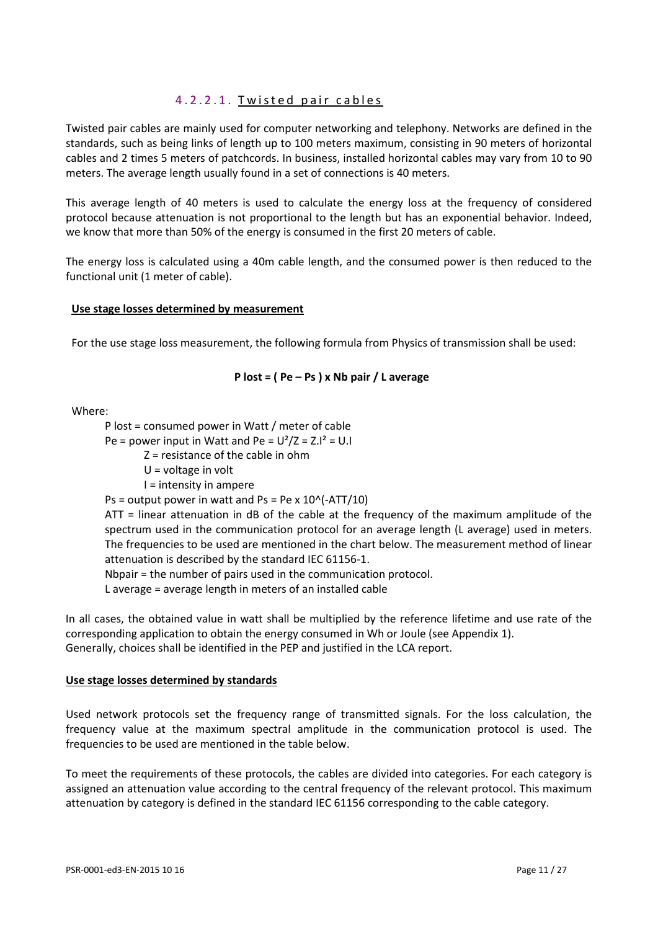### 4.2.2.1. Twisted pair cables

Twisted pair cables are mainly used for computer networking and telephony. Networks are defined in the standards, such as being links of length up to 100 meters maximum, consisting in 90 meters of horizontal cables and 2 times 5 meters of patchcords. In business, installed horizontal cables may vary from 10 to 90 meters. The average length usually found in a set of connections is 40 meters.

This average length of 40 meters is used to calculate the energy loss at the frequency of considered protocol because attenuation is not proportional to the length but has an exponential behavior. Indeed, we know that more than 50% of the energy is consumed in the first 20 meters of cable.

The energy loss is calculated using a 40m cable length, and the consumed power is then reduced to the functional unit (1 meter of cable).

#### **Use stage losses determined by measurement**

For the use stage loss measurement, the following formula from Physics of transmission shall be used:

$$
P
$$
 lost = ( Pe – Ps) x Nb pair / L average

Where:

P lost = consumed power in Watt / meter of cable

Pe = power input in Watt and Pe =  $U^2/Z = Z.I^2 = U.I$ 

Z = resistance of the cable in ohm

U = voltage in volt

I = intensity in ampere

Ps = output power in watt and Ps = Pe x  $10^{-1}$ (-ATT/10)

ATT = linear attenuation in dB of the cable at the frequency of the maximum amplitude of the spectrum used in the communication protocol for an average length (L average) used in meters. The frequencies to be used are mentioned in the chart below. The measurement method of linear attenuation is described by the standard IEC 61156-1.

Nbpair = the number of pairs used in the communication protocol.

L average = average length in meters of an installed cable

In all cases, the obtained value in watt shall be multiplied by the reference lifetime and use rate of the corresponding application to obtain the energy consumed in Wh or Joule (see Appendix 1). Generally, choices shall be identified in the PEP and justified in the LCA report.

#### **Use stage losses determined by standards**

Used network protocols set the frequency range of transmitted signals. For the loss calculation, the frequency value at the maximum spectral amplitude in the communication protocol is used. The frequencies to be used are mentioned in the table below.

To meet the requirements of these protocols, the cables are divided into categories. For each category is assigned an attenuation value according to the central frequency of the relevant protocol. This maximum attenuation by category is defined in the standard IEC 61156 corresponding to the cable category.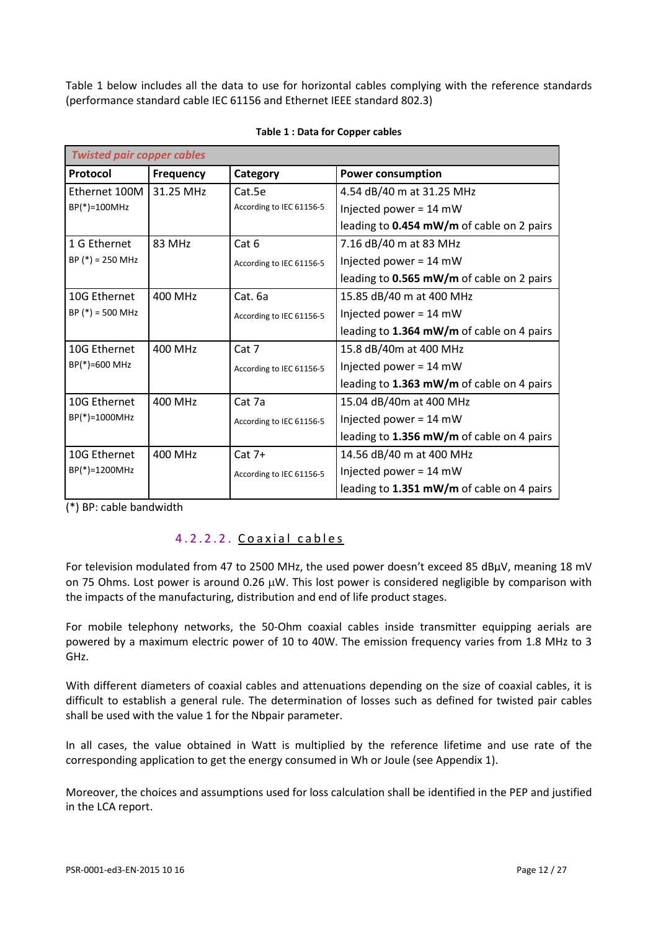Table 1 below includes all the data to use for horizontal cables complying with the reference standards (performance standard cable IEC 61156 and Ethernet IEEE standard 802.3)

| <b>Twisted pair copper cables</b> |                  |                          |                                                  |  |  |
|-----------------------------------|------------------|--------------------------|--------------------------------------------------|--|--|
| Protocol                          | <b>Frequency</b> | Category                 | <b>Power consumption</b>                         |  |  |
| Ethernet 100M                     | 31.25 MHz        | Cat.5e                   | 4.54 dB/40 m at 31.25 MHz                        |  |  |
| BP(*)=100MHz                      |                  | According to IEC 61156-5 | Injected power = $14$ mW                         |  |  |
|                                   |                  |                          | leading to 0.454 mW/m of cable on 2 pairs        |  |  |
| 1 G Ethernet                      | 83 MHz           | Cat 6                    | 7.16 dB/40 m at 83 MHz                           |  |  |
| $BP (*) = 250 MHz$                |                  | According to IEC 61156-5 | Injected power = 14 mW                           |  |  |
|                                   |                  |                          | leading to <b>0.565 mW/m</b> of cable on 2 pairs |  |  |
| 10G Ethernet                      | 400 MHz          | Cat. 6a                  | 15.85 dB/40 m at 400 MHz                         |  |  |
| $BP (*) = 500 MHz$                |                  | According to IEC 61156-5 | Injected power = $14$ mW                         |  |  |
|                                   |                  |                          | leading to 1.364 mW/m of cable on 4 pairs        |  |  |
| 10G Ethernet                      | 400 MHz          | Cat 7                    | 15.8 dB/40m at 400 MHz                           |  |  |
| BP(*)=600 MHz                     |                  | According to IEC 61156-5 | Injected power = 14 mW                           |  |  |
|                                   |                  |                          | leading to 1.363 mW/m of cable on 4 pairs        |  |  |
| 10G Ethernet                      | 400 MHz          | Cat 7a                   | 15.04 dB/40m at 400 MHz                          |  |  |
| BP(*)=1000MHz                     |                  | According to IEC 61156-5 | Injected power = $14$ mW                         |  |  |
|                                   |                  |                          | leading to 1.356 mW/m of cable on 4 pairs        |  |  |
| 10G Ethernet                      | 400 MHz          | $Cat 7+$                 | 14.56 dB/40 m at 400 MHz                         |  |  |
| BP(*)=1200MHz                     |                  | According to IEC 61156-5 | Injected power = 14 mW                           |  |  |
|                                   |                  |                          | leading to 1.351 mW/m of cable on 4 pairs        |  |  |

#### **Table 1 : Data for Copper cables**

(\*) BP: cable bandwidth

### 4.2.2.2. Coaxial cables

For television modulated from 47 to 2500 MHz, the used power doesn't exceed 85 dBμV, meaning 18 mV on 75 Ohms. Lost power is around 0.26  $\mu$ W. This lost power is considered negligible by comparison with the impacts of the manufacturing, distribution and end of life product stages.

For mobile telephony networks, the 50-Ohm coaxial cables inside transmitter equipping aerials are powered by a maximum electric power of 10 to 40W. The emission frequency varies from 1.8 MHz to 3 GHz.

With different diameters of coaxial cables and attenuations depending on the size of coaxial cables, it is difficult to establish a general rule. The determination of losses such as defined for twisted pair cables shall be used with the value 1 for the Nbpair parameter.

In all cases, the value obtained in Watt is multiplied by the reference lifetime and use rate of the corresponding application to get the energy consumed in Wh or Joule (see Appendix 1).

Moreover, the choices and assumptions used for loss calculation shall be identified in the PEP and justified in the LCA report.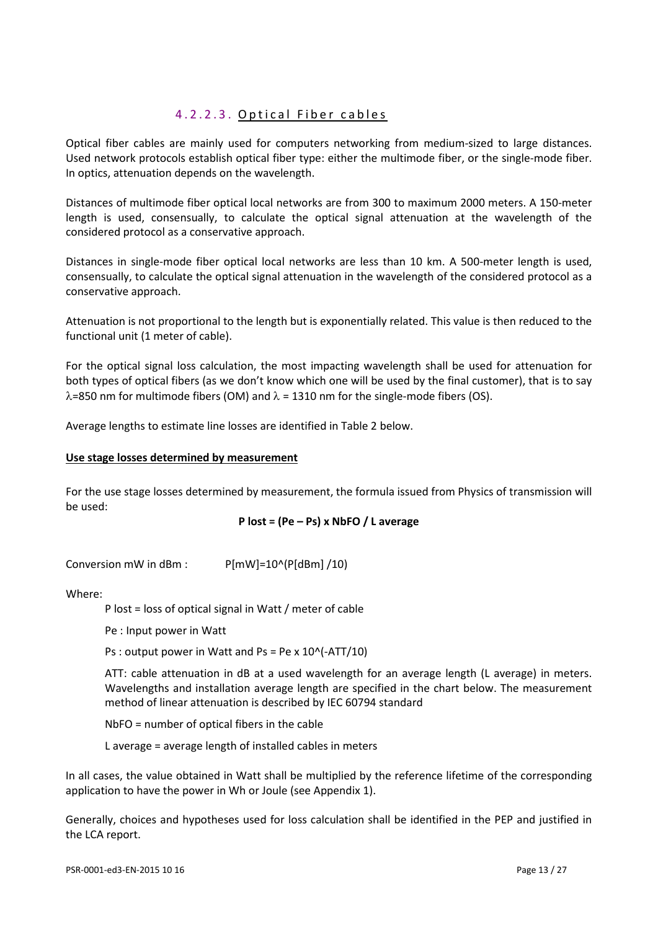### 4.2.2.3. Optical Fiber cables

Optical fiber cables are mainly used for computers networking from medium-sized to large distances. Used network protocols establish optical fiber type: either the multimode fiber, or the single-mode fiber. In optics, attenuation depends on the wavelength.

Distances of multimode fiber optical local networks are from 300 to maximum 2000 meters. A 150-meter length is used, consensually, to calculate the optical signal attenuation at the wavelength of the considered protocol as a conservative approach.

Distances in single-mode fiber optical local networks are less than 10 km. A 500-meter length is used, consensually, to calculate the optical signal attenuation in the wavelength of the considered protocol as a conservative approach.

Attenuation is not proportional to the length but is exponentially related. This value is then reduced to the functional unit (1 meter of cable).

For the optical signal loss calculation, the most impacting wavelength shall be used for attenuation for both types of optical fibers (as we don't know which one will be used by the final customer), that is to say  $\lambda$ =850 nm for multimode fibers (OM) and  $\lambda$  = 1310 nm for the single-mode fibers (OS).

Average lengths to estimate line losses are identified in Table 2 below.

#### **Use stage losses determined by measurement**

For the use stage losses determined by measurement, the formula issued from Physics of transmission will be used:

#### **P lost = (Pe – Ps) x NbFO / L average**

Conversion mW in dBm : P[mW]=10^(P[dBm] /10)

Where:

P lost = loss of optical signal in Watt / meter of cable

Pe : Input power in Watt

Ps : output power in Watt and Ps = Pe x 10^(-ATT/10)

ATT: cable attenuation in dB at a used wavelength for an average length (L average) in meters. Wavelengths and installation average length are specified in the chart below. The measurement method of linear attenuation is described by IEC 60794 standard

NbFO = number of optical fibers in the cable

L average = average length of installed cables in meters

In all cases, the value obtained in Watt shall be multiplied by the reference lifetime of the corresponding application to have the power in Wh or Joule (see Appendix 1).

Generally, choices and hypotheses used for loss calculation shall be identified in the PEP and justified in the LCA report.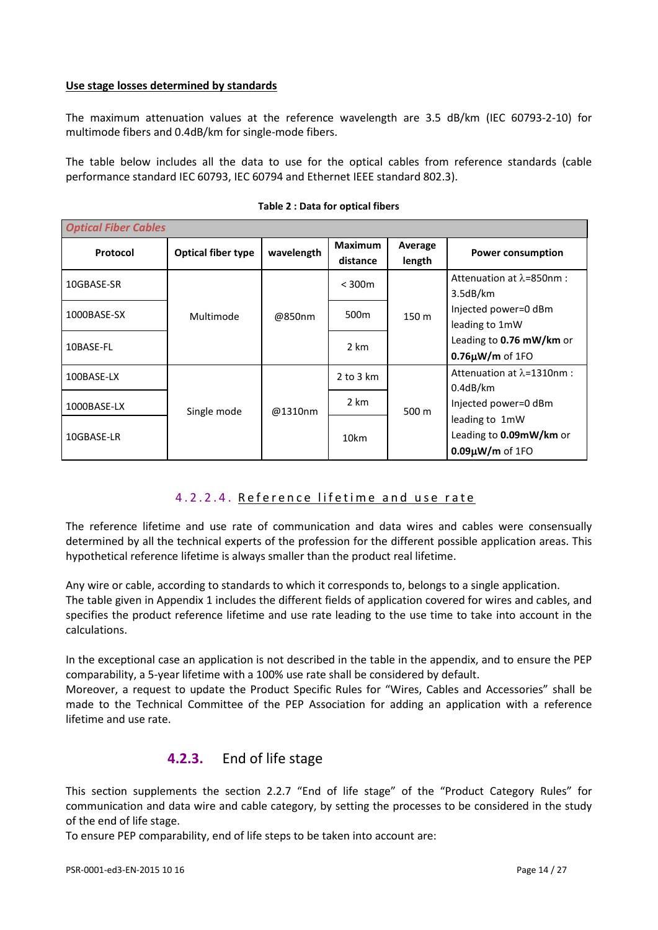#### **Use stage losses determined by standards**

The maximum attenuation values at the reference wavelength are 3.5 dB/km (IEC 60793-2-10) for multimode fibers and 0.4dB/km for single-mode fibers.

The table below includes all the data to use for the optical cables from reference standards (cable performance standard IEC 60793, IEC 60794 and Ethernet IEEE standard 802.3).

| <b>Optical Fiber Cables</b> |                           |            |                            |                   |                                                                    |
|-----------------------------|---------------------------|------------|----------------------------|-------------------|--------------------------------------------------------------------|
| Protocol                    | <b>Optical fiber type</b> | wavelength | <b>Maximum</b><br>distance | Average<br>length | <b>Power consumption</b>                                           |
| 10GBASE-SR                  |                           | @850nm     | $<$ 300 $m$                | 150 <sub>m</sub>  | Attenuation at $\lambda$ =850nm :<br>3.5dB/km                      |
| 1000BASE-SX                 | Multimode                 |            | 500 <sub>m</sub>           |                   | Injected power=0 dBm<br>leading to 1mW                             |
| 10BASE-FL                   |                           |            | 2 km                       |                   | Leading to 0.76 mW/km or<br>$0.76 \mu W/m$ of 1FO                  |
| 100BASE-LX                  |                           | @1310nm    | $2$ to $3$ km              | 500 m             | Attenuation at $\lambda$ =1310nm :<br>0.4dB/km                     |
| 1000BASE-LX                 | Single mode               |            | 2 km                       |                   | Injected power=0 dBm                                               |
| 10GBASE-LR                  |                           |            | 10km                       |                   | leading to 1mW<br>Leading to 0.09mW/km or<br>$0.09 \mu W/m$ of 1FO |

#### **Table 2 : Data for optical fibers**

### 4.2.2.4. Reference lifetime and use rate

The reference lifetime and use rate of communication and data wires and cables were consensually determined by all the technical experts of the profession for the different possible application areas. This hypothetical reference lifetime is always smaller than the product real lifetime.

Any wire or cable, according to standards to which it corresponds to, belongs to a single application. The table given in Appendix 1 includes the different fields of application covered for wires and cables, and specifies the product reference lifetime and use rate leading to the use time to take into account in the calculations.

In the exceptional case an application is not described in the table in the appendix, and to ensure the PEP comparability, a 5-year lifetime with a 100% use rate shall be considered by default.

Moreover, a request to update the Product Specific Rules for "Wires, Cables and Accessories" shall be made to the Technical Committee of the PEP Association for adding an application with a reference lifetime and use rate.

### **4.2.3.** End of life stage

This section supplements the section 2.2.7 "End of life stage" of the "Product Category Rules" for communication and data wire and cable category, by setting the processes to be considered in the study of the end of life stage.

To ensure PEP comparability, end of life steps to be taken into account are: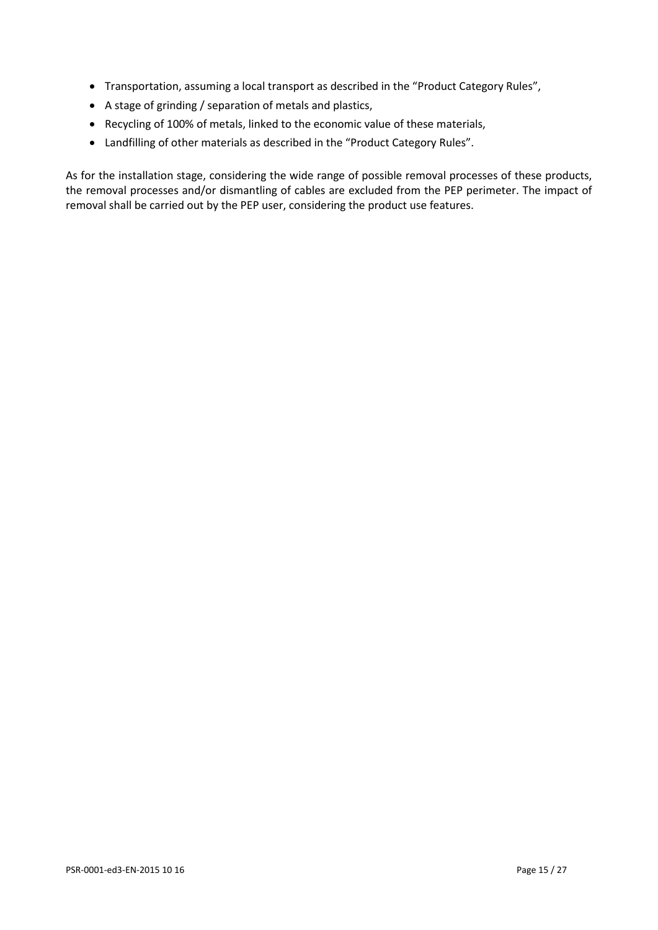- Transportation, assuming a local transport as described in the "Product Category Rules",
- A stage of grinding / separation of metals and plastics,
- Recycling of 100% of metals, linked to the economic value of these materials,
- Landfilling of other materials as described in the "Product Category Rules".

As for the installation stage, considering the wide range of possible removal processes of these products, the removal processes and/or dismantling of cables are excluded from the PEP perimeter. The impact of removal shall be carried out by the PEP user, considering the product use features.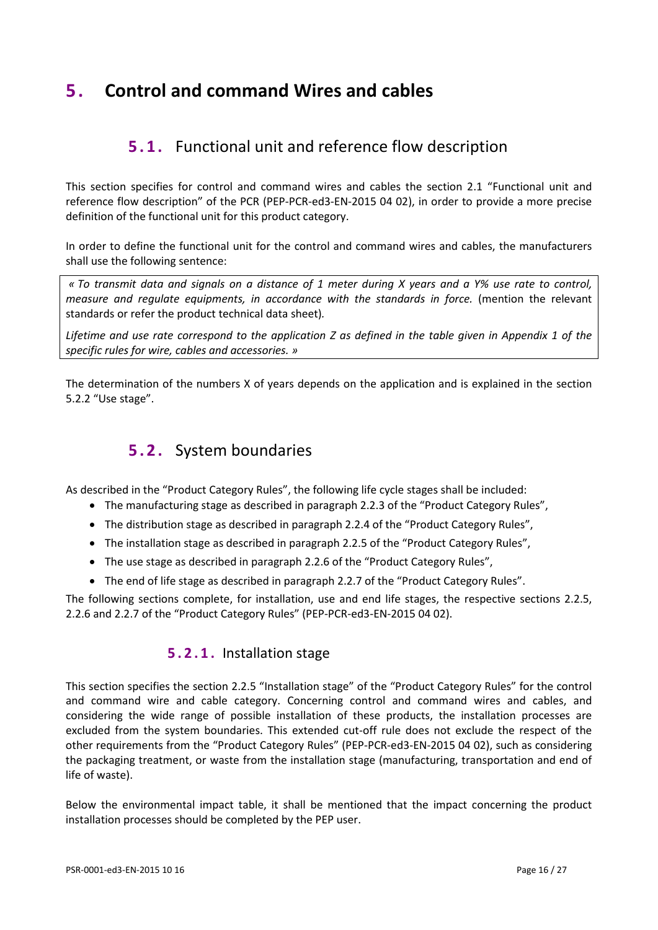### <span id="page-15-1"></span><span id="page-15-0"></span>**5 . Control and command Wires and cables**

### **5.1.** Functional unit and reference flow description

This section specifies for control and command wires and cables the section 2.1 "Functional unit and reference flow description" of the PCR (PEP-PCR-ed3-EN-2015 04 02), in order to provide a more precise definition of the functional unit for this product category.

In order to define the functional unit for the control and command wires and cables, the manufacturers shall use the following sentence:

*« To transmit data and signals on a distance of 1 meter during X years and a Y% use rate to control, measure and regulate equipments, in accordance with the standards in force.* (mention the relevant standards or refer the product technical data sheet)*.*

*Lifetime and use rate correspond to the application Z as defined in the table given in Appendix 1 of the specific rules for wire, cables and accessories. »*

<span id="page-15-2"></span>The determination of the numbers X of years depends on the application and is explained in the section 5.2.2 "Use stage".

### **5.2.** System boundaries

As described in the "Product Category Rules", the following life cycle stages shall be included:

- The manufacturing stage as described in paragraph 2.2.3 of the "Product Category Rules",
- The distribution stage as described in paragraph 2.2.4 of the "Product Category Rules",
- The installation stage as described in paragraph 2.2.5 of the "Product Category Rules",
- The use stage as described in paragraph 2.2.6 of the "Product Category Rules",
- The end of life stage as described in paragraph 2.2.7 of the "Product Category Rules".

The following sections complete, for installation, use and end life stages, the respective sections 2.2.5, 2.2.6 and 2.2.7 of the "Product Category Rules" (PEP-PCR-ed3-EN-2015 04 02).

### **5.2.1.** Installation stage

This section specifies the section 2.2.5 "Installation stage" of the "Product Category Rules" for the control and command wire and cable category. Concerning control and command wires and cables, and considering the wide range of possible installation of these products, the installation processes are excluded from the system boundaries. This extended cut-off rule does not exclude the respect of the other requirements from the "Product Category Rules" (PEP-PCR-ed3-EN-2015 04 02), such as considering the packaging treatment, or waste from the installation stage (manufacturing, transportation and end of life of waste).

Below the environmental impact table, it shall be mentioned that the impact concerning the product installation processes should be completed by the PEP user.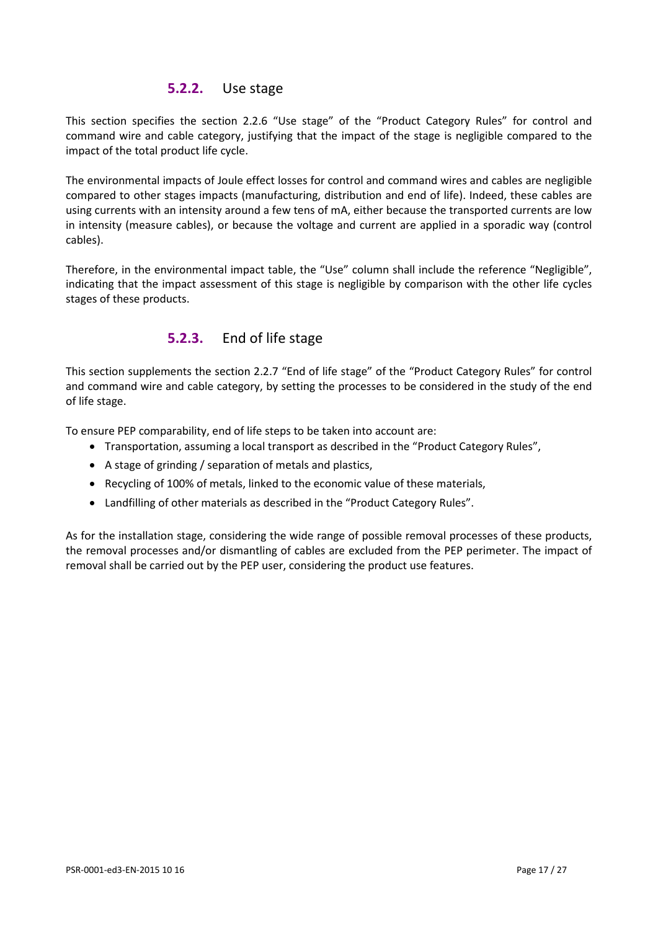### **5.2.2.** Use stage

This section specifies the section 2.2.6 "Use stage" of the "Product Category Rules" for control and command wire and cable category, justifying that the impact of the stage is negligible compared to the impact of the total product life cycle.

The environmental impacts of Joule effect losses for control and command wires and cables are negligible compared to other stages impacts (manufacturing, distribution and end of life). Indeed, these cables are using currents with an intensity around a few tens of mA, either because the transported currents are low in intensity (measure cables), or because the voltage and current are applied in a sporadic way (control cables).

Therefore, in the environmental impact table, the "Use" column shall include the reference "Negligible", indicating that the impact assessment of this stage is negligible by comparison with the other life cycles stages of these products.

### **5.2.3.** End of life stage

This section supplements the section 2.2.7 "End of life stage" of the "Product Category Rules" for control and command wire and cable category, by setting the processes to be considered in the study of the end of life stage.

To ensure PEP comparability, end of life steps to be taken into account are:

- Transportation, assuming a local transport as described in the "Product Category Rules",
- A stage of grinding / separation of metals and plastics,
- Recycling of 100% of metals, linked to the economic value of these materials,
- Landfilling of other materials as described in the "Product Category Rules".

As for the installation stage, considering the wide range of possible removal processes of these products, the removal processes and/or dismantling of cables are excluded from the PEP perimeter. The impact of removal shall be carried out by the PEP user, considering the product use features.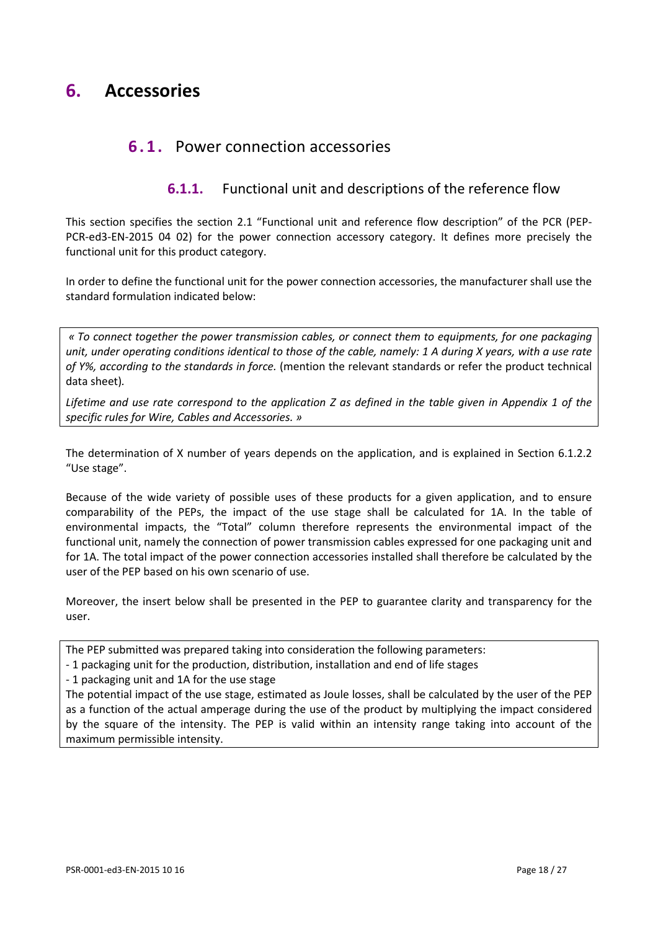### <span id="page-17-1"></span><span id="page-17-0"></span>**6. Accessories**

### **6.1.** Power connection accessories

### **6.1.1.** Functional unit and descriptions of the reference flow

This section specifies the section 2.1 "Functional unit and reference flow description" of the PCR (PEP-PCR-ed3-EN-2015 04 02) for the power connection accessory category. It defines more precisely the functional unit for this product category.

In order to define the functional unit for the power connection accessories, the manufacturer shall use the standard formulation indicated below:

*« To connect together the power transmission cables, or connect them to equipments, for one packaging unit, under operating conditions identical to those of the cable, namely: 1 A during X years, with a use rate of Y%, according to the standards in force.* (mention the relevant standards or refer the product technical data sheet)*.*

*Lifetime and use rate correspond to the application Z as defined in the table given in Appendix 1 of the specific rules for Wire, Cables and Accessories. »*

The determination of X number of years depends on the application, and is explained in Section 6.1.2.2 "Use stage".

Because of the wide variety of possible uses of these products for a given application, and to ensure comparability of the PEPs, the impact of the use stage shall be calculated for 1A. In the table of environmental impacts, the "Total" column therefore represents the environmental impact of the functional unit, namely the connection of power transmission cables expressed for one packaging unit and for 1A. The total impact of the power connection accessories installed shall therefore be calculated by the user of the PEP based on his own scenario of use.

Moreover, the insert below shall be presented in the PEP to guarantee clarity and transparency for the user.

The PEP submitted was prepared taking into consideration the following parameters:

- 1 packaging unit for the production, distribution, installation and end of life stages

- 1 packaging unit and 1A for the use stage

The potential impact of the use stage, estimated as Joule losses, shall be calculated by the user of the PEP as a function of the actual amperage during the use of the product by multiplying the impact considered by the square of the intensity. The PEP is valid within an intensity range taking into account of the maximum permissible intensity.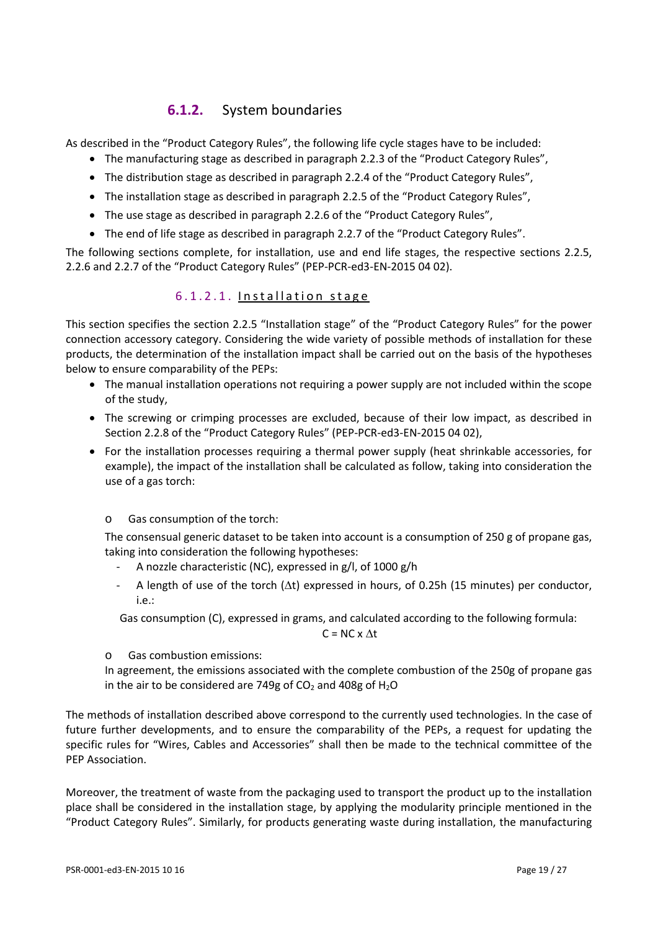### **6.1.2.** System boundaries

As described in the "Product Category Rules", the following life cycle stages have to be included:

- The manufacturing stage as described in paragraph 2.2.3 of the "Product Category Rules",
- The distribution stage as described in paragraph 2.2.4 of the "Product Category Rules",
- The installation stage as described in paragraph 2.2.5 of the "Product Category Rules",
- The use stage as described in paragraph 2.2.6 of the "Product Category Rules",
- The end of life stage as described in paragraph 2.2.7 of the "Product Category Rules".

The following sections complete, for installation, use and end life stages, the respective sections 2.2.5, 2.2.6 and 2.2.7 of the "Product Category Rules" (PEP-PCR-ed3-EN-2015 04 02).

### 6.1.2.1. Installation stage

This section specifies the section 2.2.5 "Installation stage" of the "Product Category Rules" for the power connection accessory category. Considering the wide variety of possible methods of installation for these products, the determination of the installation impact shall be carried out on the basis of the hypotheses below to ensure comparability of the PEPs:

- The manual installation operations not requiring a power supply are not included within the scope of the study,
- The screwing or crimping processes are excluded, because of their low impact, as described in Section 2.2.8 of the "Product Category Rules" (PEP-PCR-ed3-EN-2015 04 02),
- For the installation processes requiring a thermal power supply (heat shrinkable accessories, for example), the impact of the installation shall be calculated as follow, taking into consideration the use of a gas torch:

### o Gas consumption of the torch:

The consensual generic dataset to be taken into account is a consumption of 250 g of propane gas, taking into consideration the following hypotheses:

- A nozzle characteristic (NC), expressed in g/l, of 1000 g/h
- A length of use of the torch (∆t) expressed in hours, of 0.25h (15 minutes) per conductor, i.e.:

Gas consumption (C), expressed in grams, and calculated according to the following formula:

 $C = NC \times At$ 

o Gas combustion emissions:

In agreement, the emissions associated with the complete combustion of the 250g of propane gas in the air to be considered are 749g of  $CO<sub>2</sub>$  and 408g of H<sub>2</sub>O

The methods of installation described above correspond to the currently used technologies. In the case of future further developments, and to ensure the comparability of the PEPs, a request for updating the specific rules for "Wires, Cables and Accessories" shall then be made to the technical committee of the PEP Association.

Moreover, the treatment of waste from the packaging used to transport the product up to the installation place shall be considered in the installation stage, by applying the modularity principle mentioned in the "Product Category Rules". Similarly, for products generating waste during installation, the manufacturing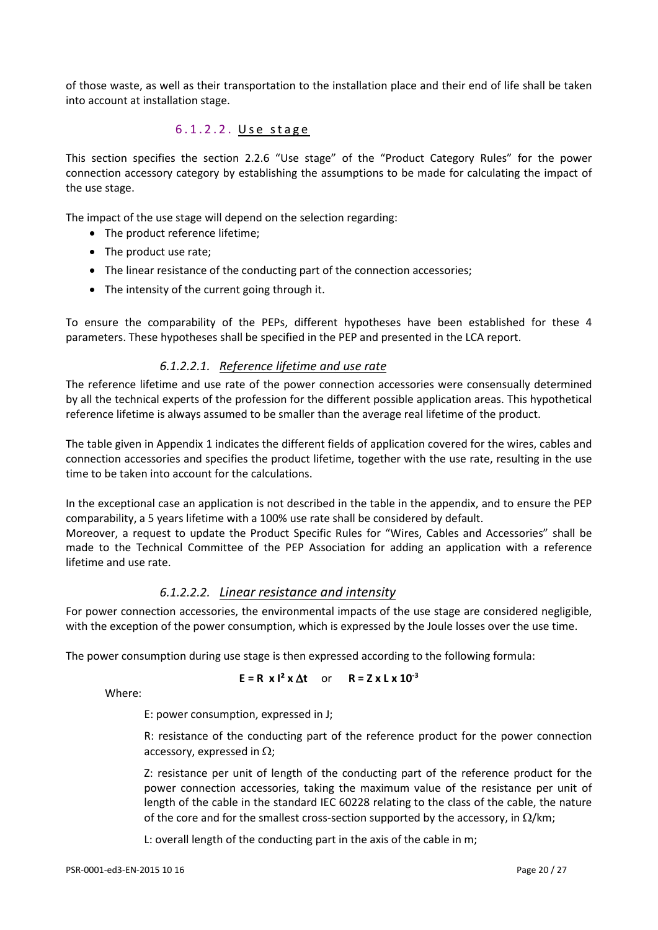of those waste, as well as their transportation to the installation place and their end of life shall be taken into account at installation stage.

### 6.1.2.2. Use stage

This section specifies the section 2.2.6 "Use stage" of the "Product Category Rules" for the power connection accessory category by establishing the assumptions to be made for calculating the impact of the use stage.

The impact of the use stage will depend on the selection regarding:

- The product reference lifetime;
- The product use rate;
- The linear resistance of the conducting part of the connection accessories;
- The intensity of the current going through it.

To ensure the comparability of the PEPs, different hypotheses have been established for these 4 parameters. These hypotheses shall be specified in the PEP and presented in the LCA report.

#### *6.1.2.2.1. Reference lifetime and use rate*

The reference lifetime and use rate of the power connection accessories were consensually determined by all the technical experts of the profession for the different possible application areas. This hypothetical reference lifetime is always assumed to be smaller than the average real lifetime of the product.

The table given in Appendix 1 indicates the different fields of application covered for the wires, cables and connection accessories and specifies the product lifetime, together with the use rate, resulting in the use time to be taken into account for the calculations.

In the exceptional case an application is not described in the table in the appendix, and to ensure the PEP comparability, a 5 years lifetime with a 100% use rate shall be considered by default.

Moreover, a request to update the Product Specific Rules for "Wires, Cables and Accessories" shall be made to the Technical Committee of the PEP Association for adding an application with a reference lifetime and use rate.

### *6.1.2.2.2. Linear resistance and intensity*

For power connection accessories, the environmental impacts of the use stage are considered negligible, with the exception of the power consumption, which is expressed by the Joule losses over the use time.

The power consumption during use stage is then expressed according to the following formula:

#### $E = R \times l^2 \times \Delta t$  or  $R = Z \times L \times 10^{-3}$

Where:

E: power consumption, expressed in J;

R: resistance of the conducting part of the reference product for the power connection accessory, expressed in  $\Omega$ ;

Z: resistance per unit of length of the conducting part of the reference product for the power connection accessories, taking the maximum value of the resistance per unit of length of the cable in the standard IEC 60228 relating to the class of the cable, the nature of the core and for the smallest cross-section supported by the accessory, in  $\Omega$ /km;

L: overall length of the conducting part in the axis of the cable in m;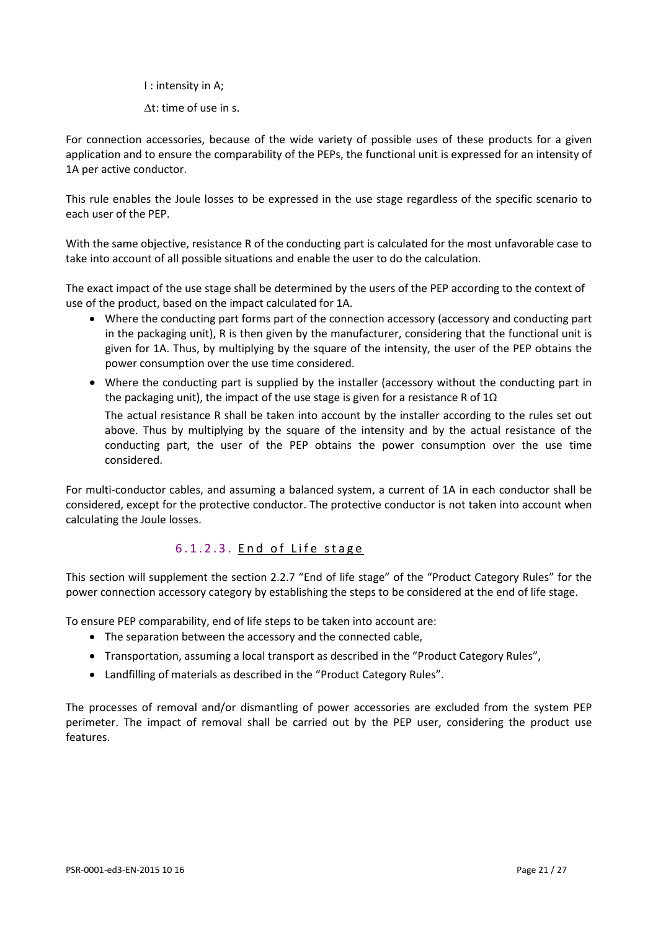I : intensity in A;

∆t: time of use in s.

For connection accessories, because of the wide variety of possible uses of these products for a given application and to ensure the comparability of the PEPs, the functional unit is expressed for an intensity of 1A per active conductor.

This rule enables the Joule losses to be expressed in the use stage regardless of the specific scenario to each user of the PEP.

With the same objective, resistance R of the conducting part is calculated for the most unfavorable case to take into account of all possible situations and enable the user to do the calculation.

The exact impact of the use stage shall be determined by the users of the PEP according to the context of use of the product, based on the impact calculated for 1A.

- Where the conducting part forms part of the connection accessory (accessory and conducting part in the packaging unit), R is then given by the manufacturer, considering that the functional unit is given for 1A. Thus, by multiplying by the square of the intensity, the user of the PEP obtains the power consumption over the use time considered.
- Where the conducting part is supplied by the installer (accessory without the conducting part in the packaging unit), the impact of the use stage is given for a resistance R of 1Ω

The actual resistance R shall be taken into account by the installer according to the rules set out above. Thus by multiplying by the square of the intensity and by the actual resistance of the conducting part, the user of the PEP obtains the power consumption over the use time considered.

For multi-conductor cables, and assuming a balanced system, a current of 1A in each conductor shall be considered, except for the protective conductor. The protective conductor is not taken into account when calculating the Joule losses.

### 6.1.2.3. End of Life stage

This section will supplement the section 2.2.7 "End of life stage" of the "Product Category Rules" for the power connection accessory category by establishing the steps to be considered at the end of life stage.

To ensure PEP comparability, end of life steps to be taken into account are:

- The separation between the accessory and the connected cable,
- Transportation, assuming a local transport as described in the "Product Category Rules",
- Landfilling of materials as described in the "Product Category Rules".

The processes of removal and/or dismantling of power accessories are excluded from the system PEP perimeter. The impact of removal shall be carried out by the PEP user, considering the product use features.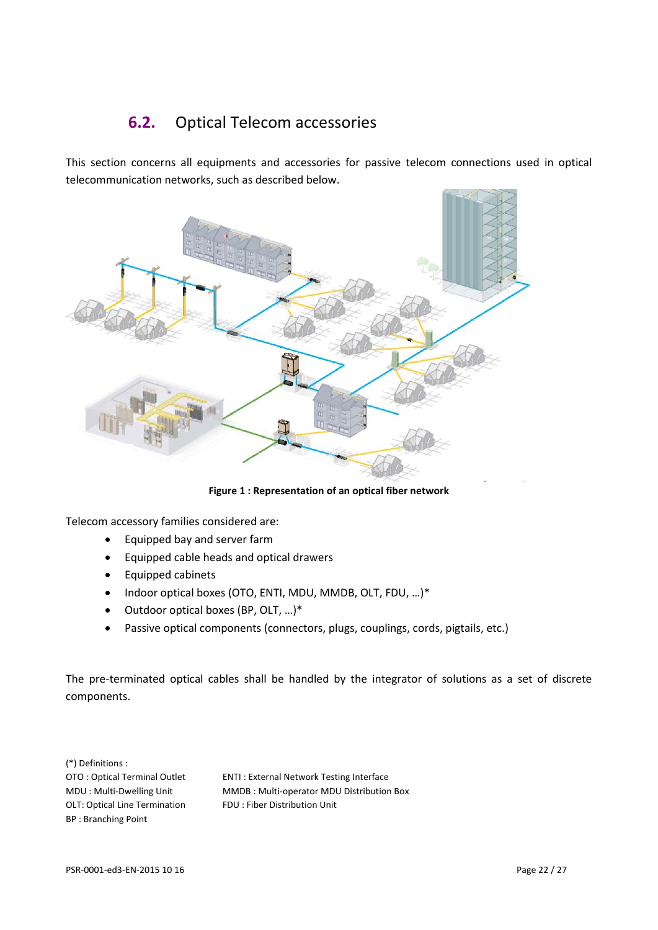### <span id="page-21-0"></span>**6.2.** Optical Telecom accessories

This section concerns all equipments and accessories for passive telecom connections used in optical telecommunication networks, such as described below.



**Figure 1 : Representation of an optical fiber network**

Telecom accessory families considered are:

- Equipped bay and server farm
- Equipped cable heads and optical drawers
- Equipped cabinets
- Indoor optical boxes (OTO, ENTI, MDU, MMDB, OLT, FDU, …)\*
- Outdoor optical boxes (BP, OLT, …)\*
- Passive optical components (connectors, plugs, couplings, cords, pigtails, etc.)

The pre-terminated optical cables shall be handled by the integrator of solutions as a set of discrete components.

(\*) Definitions : OLT: Optical Line Termination FDU : Fiber Distribution Unit BP : Branching Point

OTO : Optical Terminal Outlet ENTI : External Network Testing Interface MDU : Multi-Dwelling Unit MMDB : Multi-operator MDU Distribution Box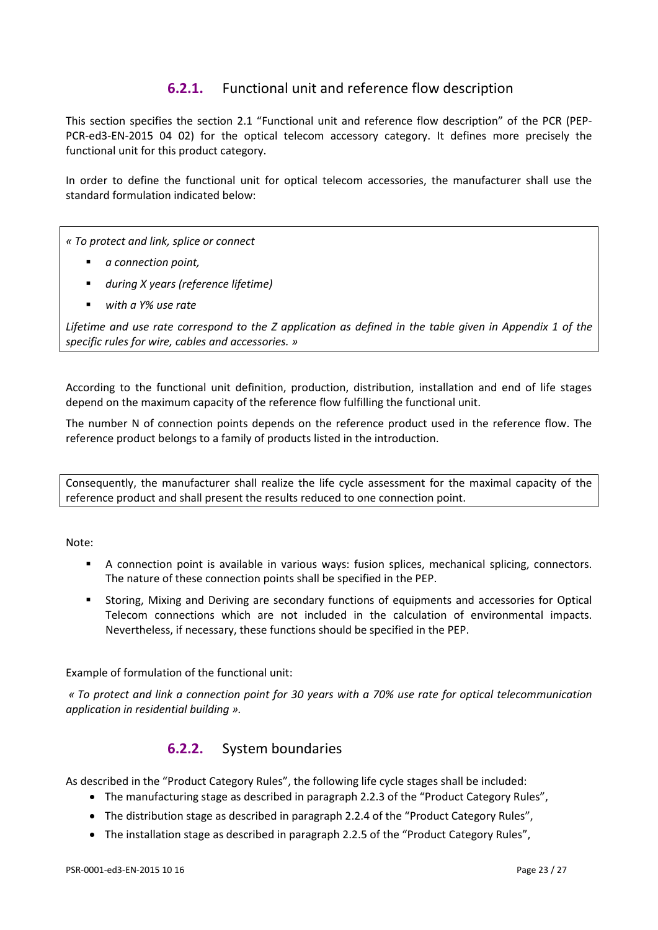### **6.2.1.** Functional unit and reference flow description

This section specifies the section 2.1 "Functional unit and reference flow description" of the PCR (PEP-PCR-ed3-EN-2015 04 02) for the optical telecom accessory category. It defines more precisely the functional unit for this product category.

In order to define the functional unit for optical telecom accessories, the manufacturer shall use the standard formulation indicated below:

*« To protect and link, splice or connect*

- *a connection point,*
- *during X years (reference lifetime)*
- *with a Y% use rate*

*Lifetime and use rate correspond to the Z application as defined in the table given in Appendix 1 of the specific rules for wire, cables and accessories. »*

According to the functional unit definition, production, distribution, installation and end of life stages depend on the maximum capacity of the reference flow fulfilling the functional unit.

The number N of connection points depends on the reference product used in the reference flow. The reference product belongs to a family of products listed in the introduction.

Consequently, the manufacturer shall realize the life cycle assessment for the maximal capacity of the reference product and shall present the results reduced to one connection point.

Note:

- A connection point is available in various ways: fusion splices, mechanical splicing, connectors. The nature of these connection points shall be specified in the PEP.
- Storing, Mixing and Deriving are secondary functions of equipments and accessories for Optical Telecom connections which are not included in the calculation of environmental impacts. Nevertheless, if necessary, these functions should be specified in the PEP.

#### Example of formulation of the functional unit:

*« To protect and link a connection point for 30 years with a 70% use rate for optical telecommunication application in residential building ».*

### **6.2.2.** System boundaries

As described in the "Product Category Rules", the following life cycle stages shall be included:

- The manufacturing stage as described in paragraph 2.2.3 of the "Product Category Rules",
- The distribution stage as described in paragraph 2.2.4 of the "Product Category Rules",
- The installation stage as described in paragraph 2.2.5 of the "Product Category Rules",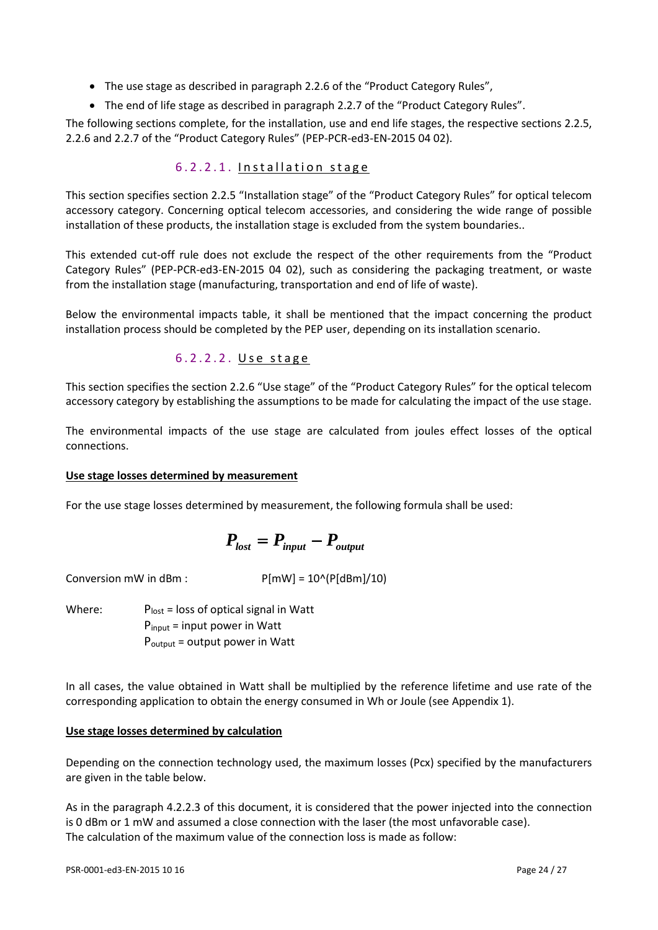- The use stage as described in paragraph 2.2.6 of the "Product Category Rules",
- The end of life stage as described in paragraph 2.2.7 of the "Product Category Rules".

The following sections complete, for the installation, use and end life stages, the respective sections 2.2.5, 2.2.6 and 2.2.7 of the "Product Category Rules" (PEP-PCR-ed3-EN-2015 04 02).

#### 6.2.2.1. Installation stage

This section specifies section 2.2.5 "Installation stage" of the "Product Category Rules" for optical telecom accessory category. Concerning optical telecom accessories, and considering the wide range of possible installation of these products, the installation stage is excluded from the system boundaries..

This extended cut-off rule does not exclude the respect of the other requirements from the "Product Category Rules" (PEP-PCR-ed3-EN-2015 04 02), such as considering the packaging treatment, or waste from the installation stage (manufacturing, transportation and end of life of waste).

Below the environmental impacts table, it shall be mentioned that the impact concerning the product installation process should be completed by the PEP user, depending on its installation scenario.

### 6.2.2.2. Use stage

This section specifies the section 2.2.6 "Use stage" of the "Product Category Rules" for the optical telecom accessory category by establishing the assumptions to be made for calculating the impact of the use stage.

The environmental impacts of the use stage are calculated from joules effect losses of the optical connections.

#### **Use stage losses determined by measurement**

For the use stage losses determined by measurement, the following formula shall be used:

$$
P_{\text{lost}} = P_{\text{input}} - P_{\text{output}}
$$

Conversion mW in dBm :  $P[mW] = 10^{(P[dBm]/10)}$ 

Where:  $P_{\text{lost}} = \text{loss of optical signal in Watt}$  $P_{input}$  = input power in Watt  $P_{\text{output}} =$  output power in Watt

In all cases, the value obtained in Watt shall be multiplied by the reference lifetime and use rate of the corresponding application to obtain the energy consumed in Wh or Joule (see Appendix 1).

#### **Use stage losses determined by calculation**

Depending on the connection technology used, the maximum losses (Pcx) specified by the manufacturers are given in the table below.

As in the paragraph 4.2.2.3 of this document, it is considered that the power injected into the connection is 0 dBm or 1 mW and assumed a close connection with the laser (the most unfavorable case). The calculation of the maximum value of the connection loss is made as follow: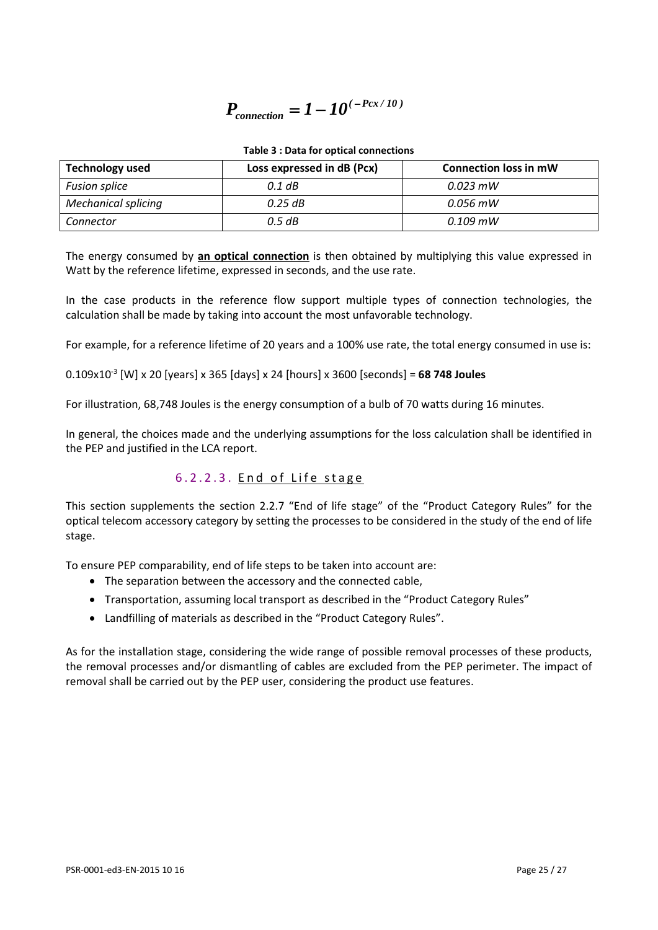$$
P_{connection} = 1 - 10^{(-Pcx/10)}
$$

#### **Table 3 : Data for optical connections**

| <b>Technology used</b>     | Loss expressed in dB (Pcx) | <b>Connection loss in mW</b> |
|----------------------------|----------------------------|------------------------------|
| <b>Fusion splice</b>       | $0.1$ dB                   | $0.023$ mW                   |
| <b>Mechanical splicing</b> | 0.25 dB                    | $0.056$ mW                   |
| Connector                  | 0.5 dB                     | $0.109$ mW                   |

The energy consumed by **an optical connection** is then obtained by multiplying this value expressed in Watt by the reference lifetime, expressed in seconds, and the use rate.

In the case products in the reference flow support multiple types of connection technologies, the calculation shall be made by taking into account the most unfavorable technology.

For example, for a reference lifetime of 20 years and a 100% use rate, the total energy consumed in use is:

0.109x10-3 [W] x 20 [years] x 365 [days] x 24 [hours] x 3600 [seconds] = **68 748 Joules**

For illustration, 68,748 Joules is the energy consumption of a bulb of 70 watts during 16 minutes.

In general, the choices made and the underlying assumptions for the loss calculation shall be identified in the PEP and justified in the LCA report.

### 6.2.2.3. End of Life stage

This section supplements the section 2.2.7 "End of life stage" of the "Product Category Rules" for the optical telecom accessory category by setting the processes to be considered in the study of the end of life stage.

To ensure PEP comparability, end of life steps to be taken into account are:

- The separation between the accessory and the connected cable,
- Transportation, assuming local transport as described in the "Product Category Rules"
- Landfilling of materials as described in the "Product Category Rules".

As for the installation stage, considering the wide range of possible removal processes of these products, the removal processes and/or dismantling of cables are excluded from the PEP perimeter. The impact of removal shall be carried out by the PEP user, considering the product use features.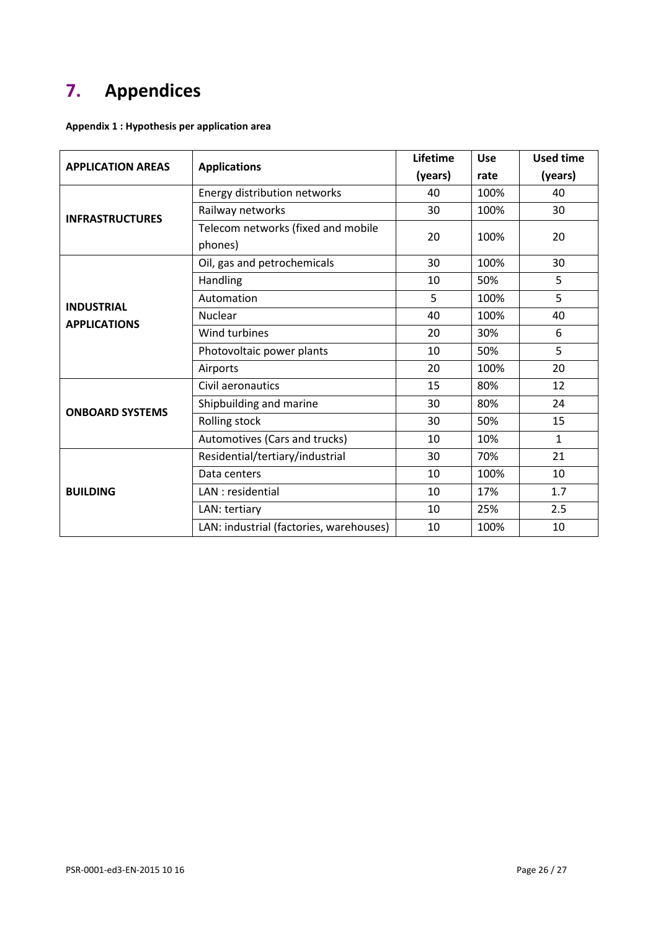## <span id="page-25-0"></span>**7. Appendices**

|  |  | Appendix 1 : Hypothesis per application area |
|--|--|----------------------------------------------|
|--|--|----------------------------------------------|

| <b>APPLICATION AREAS</b> |                                         | Lifetime | <b>Use</b> | <b>Used time</b> |
|--------------------------|-----------------------------------------|----------|------------|------------------|
|                          | <b>Applications</b>                     | (years)  | rate       | (years)          |
|                          | Energy distribution networks            | 40       | 100%       | 40               |
| <b>INFRASTRUCTURES</b>   | Railway networks                        | 30       | 100%       | 30               |
|                          | Telecom networks (fixed and mobile      | 20       | 100%       | 20               |
|                          | phones)                                 |          |            |                  |
|                          | Oil, gas and petrochemicals             | 30       | 100%       | 30               |
|                          | Handling                                | 10       | 50%        | 5                |
| <b>INDUSTRIAL</b>        | Automation                              | 5        | 100%       | 5                |
| <b>APPLICATIONS</b>      | <b>Nuclear</b>                          | 40       | 100%       | 40               |
|                          | Wind turbines                           | 20       | 30%        | 6                |
|                          | Photovoltaic power plants               | 10       | 50%        | 5                |
|                          | Airports                                | 20       | 100%       | 20               |
|                          | Civil aeronautics                       | 15       | 80%        | 12               |
| <b>ONBOARD SYSTEMS</b>   | Shipbuilding and marine                 | 30       | 80%        | 24               |
|                          | Rolling stock                           | 30       | 50%        | 15               |
|                          | Automotives (Cars and trucks)           | 10       | 10%        | $\mathbf{1}$     |
|                          | Residential/tertiary/industrial         | 30       | 70%        | 21               |
|                          | Data centers                            | 10       | 100%       | 10               |
| <b>BUILDING</b>          | LAN: residential                        | 10       | 17%        | 1.7              |
|                          | LAN: tertiary                           | 10       | 25%        | 2.5              |
|                          | LAN: industrial (factories, warehouses) | 10       | 100%       | 10               |